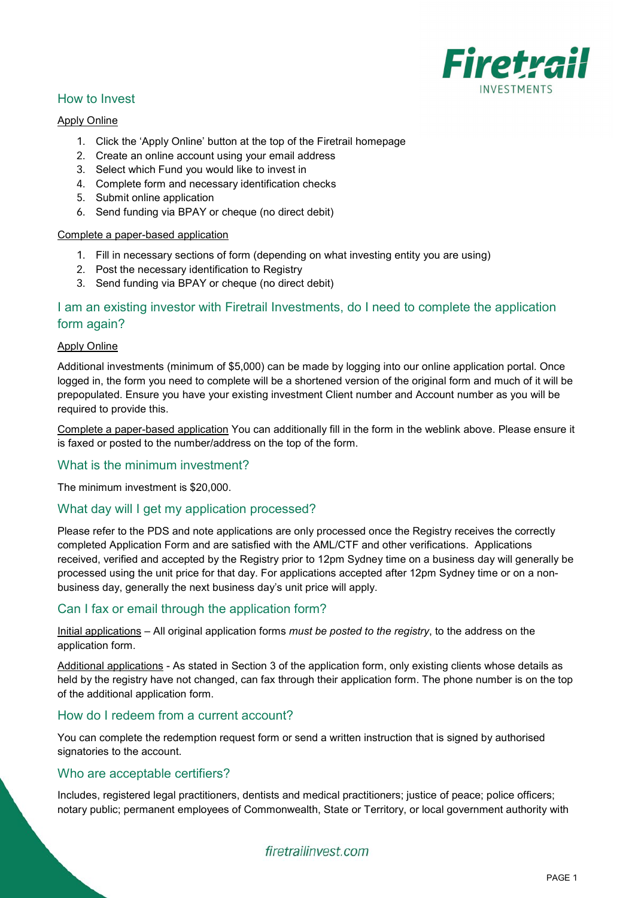

## How to Invest

### Apply Online

- 1. Click the 'Apply Online' button at the top of the Firetrail homepage
- 2. Create an online account using your email address
- 3. Select which Fund you would like to invest in
- 4. Complete form and necessary identification checks
- 5. Submit online application
- 6. Send funding via BPAY or cheque (no direct debit)

#### Complete a paper-based application

- 1. Fill in necessary sections of form (depending on what investing entity you are using)
- 2. Post the necessary identification to Registry
- 3. Send funding via BPAY or cheque (no direct debit)

# I am an existing investor with Firetrail Investments, do I need to complete the application form again?

#### Apply Online

Additional investments (minimum of \$5,000) can be made by logging into our online application portal. Once logged in, the form you need to complete will be a shortened version of the original form and much of it will be prepopulated. Ensure you have your existing investment Client number and Account number as you will be required to provide this.

Complete a paper-based application You can additionally fill in the form in the weblink above. Please ensure it is faxed or posted to the number/address on the top of the form.

### What is the minimum investment?

The minimum investment is \$20,000.

### What day will I get my application processed?

Please refer to the PDS and note applications are only processed once the Registry receives the correctly completed Application Form and are satisfied with the AML/CTF and other verifications. Applications received, verified and accepted by the Registry prior to 12pm Sydney time on a business day will generally be processed using the unit price for that day. For applications accepted after 12pm Sydney time or on a nonbusiness day, generally the next business day's unit price will apply.

## Can I fax or email through the application form?

Initial applications – All original application forms *must be posted to the registry*, to the address on the application form.

Additional applications - As stated in Section 3 of the application form, only existing clients whose details as held by the registry have not changed, can fax through their application form. The phone number is on the top of the additional application form.

## How do I redeem from a current account?

You can complete the redemption request form or send a written instruction that is signed by authorised signatories to the account.

### Who are acceptable certifiers?

Includes, registered legal practitioners, dentists and medical practitioners; justice of peace; police officers; notary public; permanent employees of Commonwealth, State or Territory, or local government authority with